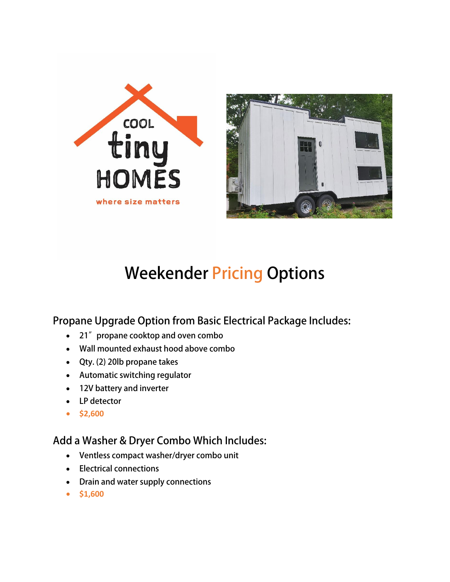



# **Weekender Pricing Options**

**Propane Upgrade Option from Basic Electrical Package Includes:**

- **21"propane cooktop and oven combo**
- **Wall mounted exhaust hood above combo**
- **Qty. (2) 20lb propane takes**
- **Automatic switching regulator**
- **12V battery and inverter**
- **LP detector**
- **\$2,600**

#### **Add a Washer & Dryer Combo Which Includes:**

- **Ventless compact washer/dryer combo unit**
- **Electrical connections**
- **Drain and water supply connections**
- **\$1,600**